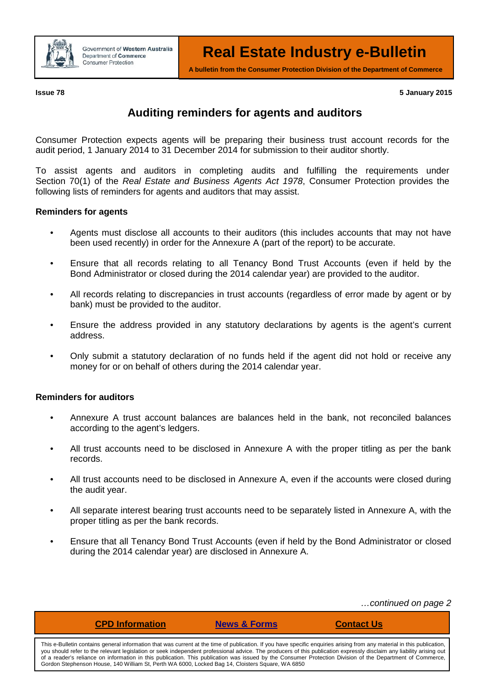

**A bulletin from the Consumer Protection Division of the Department of Commerce**

**Issue 78 5 January 2015**

## **Auditing reminders for agents and auditors**

Consumer Protection expects agents will be preparing their business trust account records for the audit period, 1 January 2014 to 31 December 2014 for submission to their auditor shortly.

To assist agents and auditors in completing audits and fulfilling the requirements under Section 70(1) of the *Real Estate and Business Agents Act 1978*, Consumer Protection provides the following lists of reminders for agents and auditors that may assist.

## **Reminders for agents**

- Agents must disclose all accounts to their auditors (this includes accounts that may not have been used recently) in order for the Annexure A (part of the report) to be accurate.
- Ensure that all records relating to all Tenancy Bond Trust Accounts (even if held by the Bond Administrator or closed during the 2014 calendar year) are provided to the auditor.
- All records relating to discrepancies in trust accounts (regardless of error made by agent or by bank) must be provided to the auditor.
- Ensure the address provided in any statutory declarations by agents is the agent's current address.
- Only submit a statutory declaration of no funds held if the agent did not hold or receive any money for or on behalf of others during the 2014 calendar year.

## **Reminders for auditors**

- Annexure A trust account balances are balances held in the bank, not reconciled balances according to the agent's ledgers.
- All trust accounts need to be disclosed in Annexure A with the proper titling as per the bank records.
- All trust accounts need to be disclosed in Annexure A, even if the accounts were closed during the audit year.
- All separate interest bearing trust accounts need to be separately listed in Annexure A, with the proper titling as per the bank records.
- Ensure that all Tenancy Bond Trust Accounts (even if held by the Bond Administrator or closed during the 2014 calendar year) are disclosed in Annexure A.

*…continued on page 2*

| This e-Bulletin contains general information that was current at the time of publication. If you have specific enguiries arising from any material in this publication, |
|-------------------------------------------------------------------------------------------------------------------------------------------------------------------------|
| you should refer to the relevant legislation or seek independent professional advice. The producers of this publication expressly disclaim any liability arising out    |
| of a reader's reliance on information in this publication. This publication was issued by the Consumer Protection Division of the Department of Commerce,               |
| Gordon Stephenson House, 140 William St, Perth WA 6000, Locked Bag 14, Cloisters Square, WA 6850                                                                        |

**[CPD Information](http://www.commerce.wa.gov.au/consumer-protection/cpd-points-and-activities-real-estate) [News & Forms](http://www.commerce.wa.gov.au/consumer-protection/publications-real-estate) [Contact Us](http://www.commerce.wa.gov.au/corporate/contact-information)**